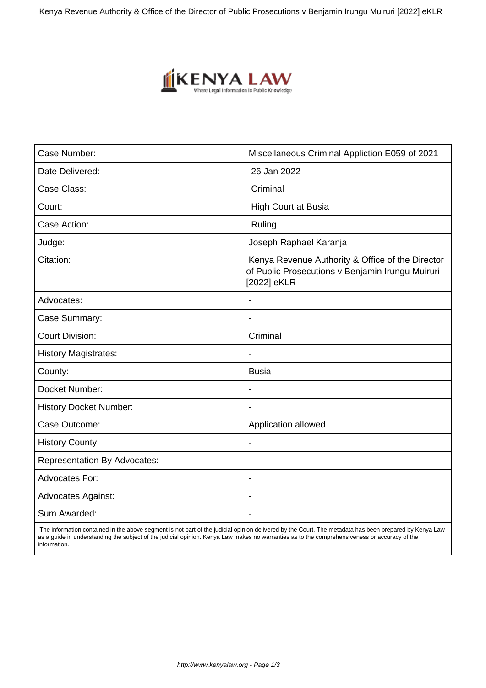Kenya Revenue Authority & Office of the Director of Public Prosecutions v Benjamin Irungu Muiruri [2022] eKLR



| Case Number:                        | Miscellaneous Criminal Appliction E059 of 2021                                                                      |
|-------------------------------------|---------------------------------------------------------------------------------------------------------------------|
| Date Delivered:                     | 26 Jan 2022                                                                                                         |
| Case Class:                         | Criminal                                                                                                            |
| Court:                              | <b>High Court at Busia</b>                                                                                          |
| Case Action:                        | Ruling                                                                                                              |
| Judge:                              | Joseph Raphael Karanja                                                                                              |
| Citation:                           | Kenya Revenue Authority & Office of the Director<br>of Public Prosecutions v Benjamin Irungu Muiruri<br>[2022] eKLR |
| Advocates:                          |                                                                                                                     |
| Case Summary:                       | $\blacksquare$                                                                                                      |
| <b>Court Division:</b>              | Criminal                                                                                                            |
| <b>History Magistrates:</b>         |                                                                                                                     |
| County:                             | <b>Busia</b>                                                                                                        |
| Docket Number:                      | $\overline{\phantom{a}}$                                                                                            |
| <b>History Docket Number:</b>       |                                                                                                                     |
| Case Outcome:                       | Application allowed                                                                                                 |
| <b>History County:</b>              |                                                                                                                     |
| <b>Representation By Advocates:</b> | ٠                                                                                                                   |
| Advocates For:                      | ÷.                                                                                                                  |
| <b>Advocates Against:</b>           |                                                                                                                     |
| Sum Awarded:                        |                                                                                                                     |

 The information contained in the above segment is not part of the judicial opinion delivered by the Court. The metadata has been prepared by Kenya Law as a guide in understanding the subject of the judicial opinion. Kenya Law makes no warranties as to the comprehensiveness or accuracy of the information.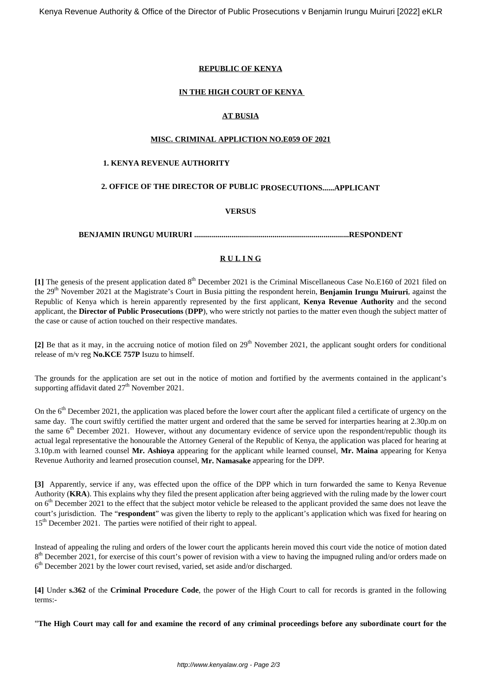## **REPUBLIC OF KENYA**

## **IN THE HIGH COURT OF KENYA**

## **AT BUSIA**

### **MISC. CRIMINAL APPLICTION NO.E059 OF 2021**

## **1. KENYA REVENUE AUTHORITY**

## **2. OFFICE OF THE DIRECTOR OF PUBLIC PROSECUTIONS......APPLICANT**

## **VERSUS**

**BENJAMIN IRUNGU MUIRURI ...............................................................................RESPONDENT**

## **R U L I N G**

[1] The genesis of the present application dated 8<sup>th</sup> December 2021 is the Criminal Miscellaneous Case No.E160 of 2021 filed on the 29th November 2021 at the Magistrate's Court in Busia pitting the respondent herein, **Benjamin Irungu Muiruri**, against the Republic of Kenya which is herein apparently represented by the first applicant, **Kenya Revenue Authority** and the second applicant, the **Director of Public Prosecutions** (**DPP**), who were strictly not parties to the matter even though the subject matter of the case or cause of action touched on their respective mandates.

[2] Be that as it may, in the accruing notice of motion filed on 29<sup>th</sup> November 2021, the applicant sought orders for conditional release of m/v reg **No.KCE 757P** Isuzu to himself.

The grounds for the application are set out in the notice of motion and fortified by the averments contained in the applicant's supporting affidavit dated  $27<sup>th</sup>$  November 2021.

On the 6<sup>th</sup> December 2021, the application was placed before the lower court after the applicant filed a certificate of urgency on the same day. The court swiftly certified the matter urgent and ordered that the same be served for interparties hearing at 2.30p.m on the same  $6<sup>th</sup>$  December 2021. However, without any documentary evidence of service upon the respondent/republic though its actual legal representative the honourable the Attorney General of the Republic of Kenya, the application was placed for hearing at 3.10p.m with learned counsel **Mr. Ashioya** appearing for the applicant while learned counsel, **Mr. Maina** appearing for Kenya Revenue Authority and learned prosecution counsel, **Mr. Namasake** appearing for the DPP.

**[3]** Apparently, service if any, was effected upon the office of the DPP which in turn forwarded the same to Kenya Revenue Authority (**KRA**). This explains why they filed the present application after being aggrieved with the ruling made by the lower court on  $6<sup>th</sup>$  December 2021 to the effect that the subject motor vehicle be released to the applicant provided the same does not leave the court's jurisdiction. The "**respondent**" was given the liberty to reply to the applicant's application which was fixed for hearing on 15<sup>th</sup> December 2021. The parties were notified of their right to appeal.

Instead of appealing the ruling and orders of the lower court the applicants herein moved this court vide the notice of motion dated 8<sup>th</sup> December 2021, for exercise of this court's power of revision with a view to having the impugned ruling and/or orders made on 6<sup>th</sup> December 2021 by the lower court revised, varied, set aside and/or discharged.

**[4]** Under **s.362** of the **Criminal Procedure Code**, the power of the High Court to call for records is granted in the following terms:-

"**The High Court may call for and examine the record of any criminal proceedings before any subordinate court for the**